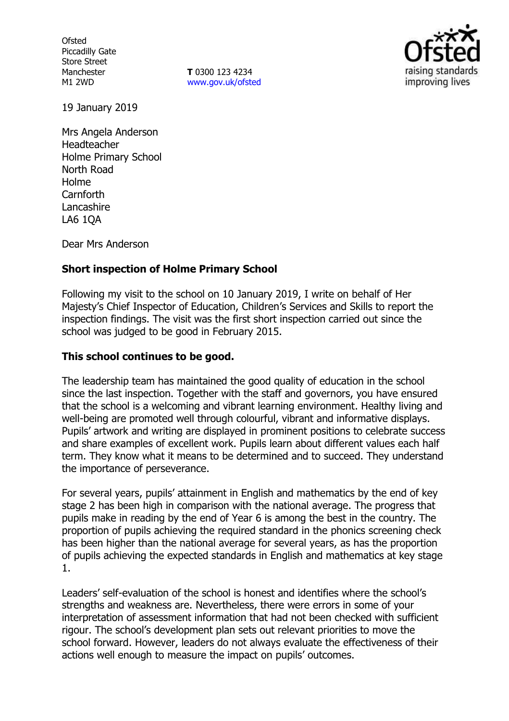**Ofsted** Piccadilly Gate Store Street Manchester M1 2WD

**T** 0300 123 4234 www.gov.uk/ofsted



19 January 2019

Mrs Angela Anderson Headteacher Holme Primary School North Road Holme Carnforth Lancashire LA6 1QA

Dear Mrs Anderson

## **Short inspection of Holme Primary School**

Following my visit to the school on 10 January 2019, I write on behalf of Her Majesty's Chief Inspector of Education, Children's Services and Skills to report the inspection findings. The visit was the first short inspection carried out since the school was judged to be good in February 2015.

#### **This school continues to be good.**

The leadership team has maintained the good quality of education in the school since the last inspection. Together with the staff and governors, you have ensured that the school is a welcoming and vibrant learning environment. Healthy living and well-being are promoted well through colourful, vibrant and informative displays. Pupils' artwork and writing are displayed in prominent positions to celebrate success and share examples of excellent work. Pupils learn about different values each half term. They know what it means to be determined and to succeed. They understand the importance of perseverance.

For several years, pupils' attainment in English and mathematics by the end of key stage 2 has been high in comparison with the national average. The progress that pupils make in reading by the end of Year 6 is among the best in the country. The proportion of pupils achieving the required standard in the phonics screening check has been higher than the national average for several years, as has the proportion of pupils achieving the expected standards in English and mathematics at key stage 1.

Leaders' self-evaluation of the school is honest and identifies where the school's strengths and weakness are. Nevertheless, there were errors in some of your interpretation of assessment information that had not been checked with sufficient rigour. The school's development plan sets out relevant priorities to move the school forward. However, leaders do not always evaluate the effectiveness of their actions well enough to measure the impact on pupils' outcomes.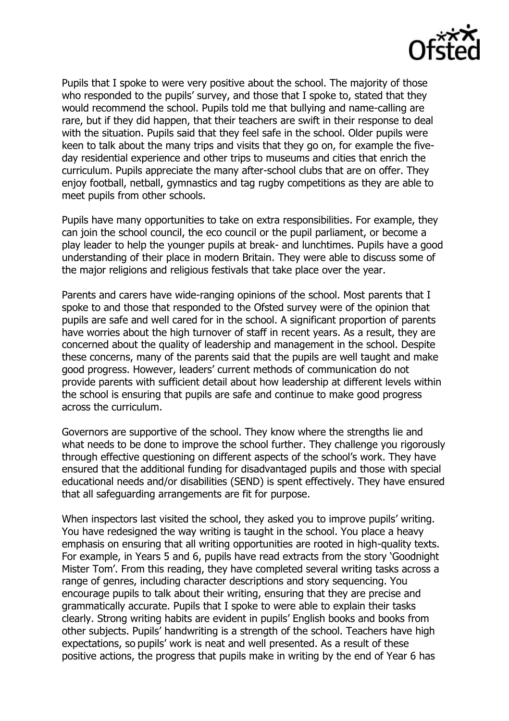

Pupils that I spoke to were very positive about the school. The majority of those who responded to the pupils' survey, and those that I spoke to, stated that they would recommend the school. Pupils told me that bullying and name-calling are rare, but if they did happen, that their teachers are swift in their response to deal with the situation. Pupils said that they feel safe in the school. Older pupils were keen to talk about the many trips and visits that they go on, for example the fiveday residential experience and other trips to museums and cities that enrich the curriculum. Pupils appreciate the many after-school clubs that are on offer. They enjoy football, netball, gymnastics and tag rugby competitions as they are able to meet pupils from other schools.

Pupils have many opportunities to take on extra responsibilities. For example, they can join the school council, the eco council or the pupil parliament, or become a play leader to help the younger pupils at break- and lunchtimes. Pupils have a good understanding of their place in modern Britain. They were able to discuss some of the major religions and religious festivals that take place over the year.

Parents and carers have wide-ranging opinions of the school. Most parents that I spoke to and those that responded to the Ofsted survey were of the opinion that pupils are safe and well cared for in the school. A significant proportion of parents have worries about the high turnover of staff in recent years. As a result, they are concerned about the quality of leadership and management in the school. Despite these concerns, many of the parents said that the pupils are well taught and make good progress. However, leaders' current methods of communication do not provide parents with sufficient detail about how leadership at different levels within the school is ensuring that pupils are safe and continue to make good progress across the curriculum.

Governors are supportive of the school. They know where the strengths lie and what needs to be done to improve the school further. They challenge you rigorously through effective questioning on different aspects of the school's work. They have ensured that the additional funding for disadvantaged pupils and those with special educational needs and/or disabilities (SEND) is spent effectively. They have ensured that all safeguarding arrangements are fit for purpose.

When inspectors last visited the school, they asked you to improve pupils' writing. You have redesigned the way writing is taught in the school. You place a heavy emphasis on ensuring that all writing opportunities are rooted in high-quality texts. For example, in Years 5 and 6, pupils have read extracts from the story 'Goodnight Mister Tom'. From this reading, they have completed several writing tasks across a range of genres, including character descriptions and story sequencing. You encourage pupils to talk about their writing, ensuring that they are precise and grammatically accurate. Pupils that I spoke to were able to explain their tasks clearly. Strong writing habits are evident in pupils' English books and books from other subjects. Pupils' handwriting is a strength of the school. Teachers have high expectations, so pupils' work is neat and well presented. As a result of these positive actions, the progress that pupils make in writing by the end of Year 6 has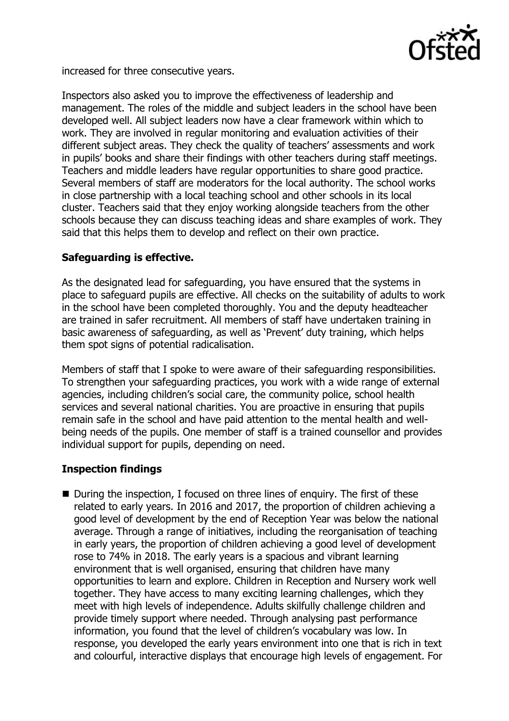

increased for three consecutive years.

Inspectors also asked you to improve the effectiveness of leadership and management. The roles of the middle and subject leaders in the school have been developed well. All subject leaders now have a clear framework within which to work. They are involved in regular monitoring and evaluation activities of their different subject areas. They check the quality of teachers' assessments and work in pupils' books and share their findings with other teachers during staff meetings. Teachers and middle leaders have regular opportunities to share good practice. Several members of staff are moderators for the local authority. The school works in close partnership with a local teaching school and other schools in its local cluster. Teachers said that they enjoy working alongside teachers from the other schools because they can discuss teaching ideas and share examples of work. They said that this helps them to develop and reflect on their own practice.

## **Safeguarding is effective.**

As the designated lead for safeguarding, you have ensured that the systems in place to safeguard pupils are effective. All checks on the suitability of adults to work in the school have been completed thoroughly. You and the deputy headteacher are trained in safer recruitment. All members of staff have undertaken training in basic awareness of safeguarding, as well as 'Prevent' duty training, which helps them spot signs of potential radicalisation.

Members of staff that I spoke to were aware of their safeguarding responsibilities. To strengthen your safeguarding practices, you work with a wide range of external agencies, including children's social care, the community police, school health services and several national charities. You are proactive in ensuring that pupils remain safe in the school and have paid attention to the mental health and wellbeing needs of the pupils. One member of staff is a trained counsellor and provides individual support for pupils, depending on need.

# **Inspection findings**

■ During the inspection, I focused on three lines of enquiry. The first of these related to early years. In 2016 and 2017, the proportion of children achieving a good level of development by the end of Reception Year was below the national average. Through a range of initiatives, including the reorganisation of teaching in early years, the proportion of children achieving a good level of development rose to 74% in 2018. The early years is a spacious and vibrant learning environment that is well organised, ensuring that children have many opportunities to learn and explore. Children in Reception and Nursery work well together. They have access to many exciting learning challenges, which they meet with high levels of independence. Adults skilfully challenge children and provide timely support where needed. Through analysing past performance information, you found that the level of children's vocabulary was low. In response, you developed the early years environment into one that is rich in text and colourful, interactive displays that encourage high levels of engagement. For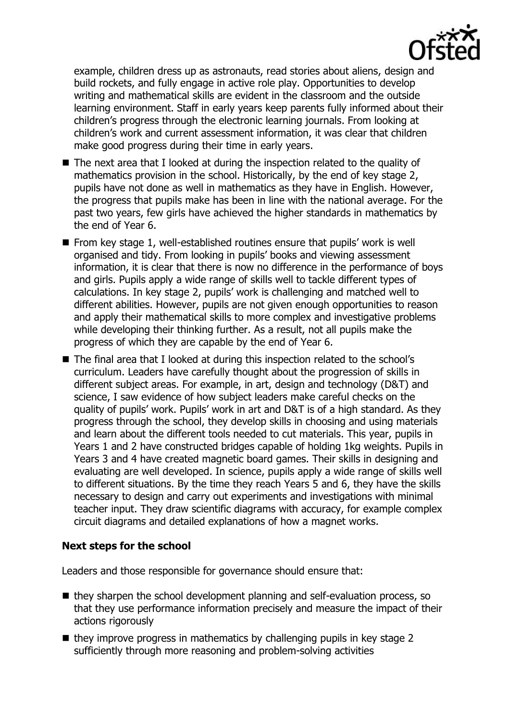

example, children dress up as astronauts, read stories about aliens, design and build rockets, and fully engage in active role play. Opportunities to develop writing and mathematical skills are evident in the classroom and the outside learning environment. Staff in early years keep parents fully informed about their children's progress through the electronic learning journals. From looking at children's work and current assessment information, it was clear that children make good progress during their time in early years.

- The next area that I looked at during the inspection related to the quality of mathematics provision in the school. Historically, by the end of key stage 2, pupils have not done as well in mathematics as they have in English. However, the progress that pupils make has been in line with the national average. For the past two years, few girls have achieved the higher standards in mathematics by the end of Year 6.
- From key stage 1, well-established routines ensure that pupils' work is well organised and tidy. From looking in pupils' books and viewing assessment information, it is clear that there is now no difference in the performance of boys and girls. Pupils apply a wide range of skills well to tackle different types of calculations. In key stage 2, pupils' work is challenging and matched well to different abilities. However, pupils are not given enough opportunities to reason and apply their mathematical skills to more complex and investigative problems while developing their thinking further. As a result, not all pupils make the progress of which they are capable by the end of Year 6.
- The final area that I looked at during this inspection related to the school's curriculum. Leaders have carefully thought about the progression of skills in different subject areas. For example, in art, design and technology (D&T) and science, I saw evidence of how subject leaders make careful checks on the quality of pupils' work. Pupils' work in art and D&T is of a high standard. As they progress through the school, they develop skills in choosing and using materials and learn about the different tools needed to cut materials. This year, pupils in Years 1 and 2 have constructed bridges capable of holding 1kg weights. Pupils in Years 3 and 4 have created magnetic board games. Their skills in designing and evaluating are well developed. In science, pupils apply a wide range of skills well to different situations. By the time they reach Years 5 and 6, they have the skills necessary to design and carry out experiments and investigations with minimal teacher input. They draw scientific diagrams with accuracy, for example complex circuit diagrams and detailed explanations of how a magnet works.

### **Next steps for the school**

Leaders and those responsible for governance should ensure that:

- $\blacksquare$  they sharpen the school development planning and self-evaluation process, so that they use performance information precisely and measure the impact of their actions rigorously
- $\blacksquare$  they improve progress in mathematics by challenging pupils in key stage 2 sufficiently through more reasoning and problem-solving activities